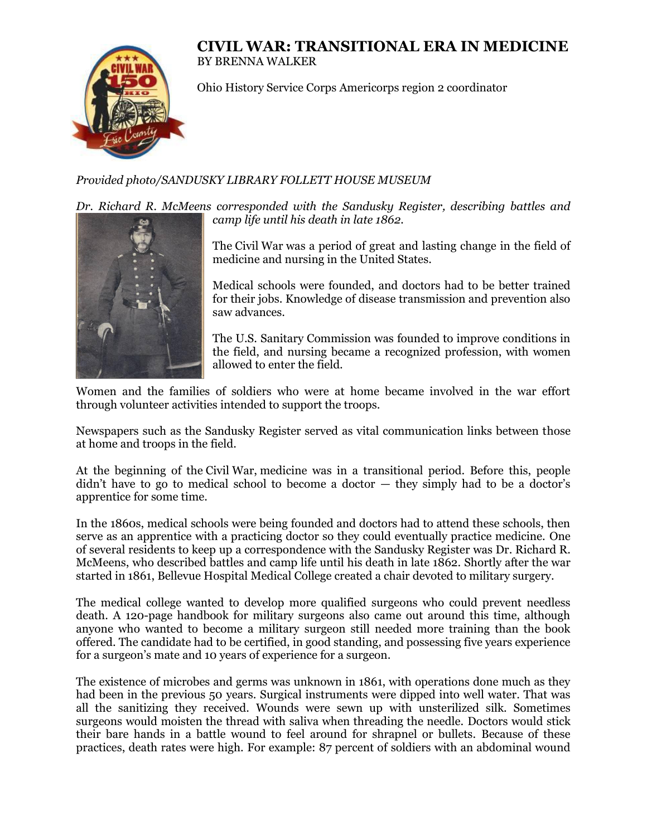## **CIVIL WAR: TRANSITIONAL ERA IN MEDICINE** BY BRENNA WALKER



Ohio History Service Corps Americorps region 2 coordinator

## *Provided photo/SANDUSKY LIBRARY FOLLETT HOUSE MUSEUM*

*Dr. Richard R. McMeens corresponded with the Sandusky Register, describing battles and camp life until his death in late 1862.*



The Civil War was a period of great and lasting change in the field of medicine and nursing in the United States.

Medical schools were founded, and doctors had to be better trained for their jobs. Knowledge of disease transmission and prevention also saw advances.

The U.S. Sanitary Commission was founded to improve conditions in the field, and nursing became a recognized profession, with women allowed to enter the field.

Women and the families of soldiers who were at home became involved in the war effort through volunteer activities intended to support the troops.

Newspapers such as the Sandusky Register served as vital communication links between those at home and troops in the field.

At the beginning of the Civil War, medicine was in a transitional period. Before this, people didn't have to go to medical school to become a doctor  $-$  they simply had to be a doctor's apprentice for some time.

In the 1860s, medical schools were being founded and doctors had to attend these schools, then serve as an apprentice with a practicing doctor so they could eventually practice medicine. One of several residents to keep up a correspondence with the Sandusky Register was Dr. Richard R. McMeens, who described battles and camp life until his death in late 1862. Shortly after the war started in 1861, Bellevue Hospital Medical College created a chair devoted to military surgery.

The medical college wanted to develop more qualified surgeons who could prevent needless death. A 120-page handbook for military surgeons also came out around this time, although anyone who wanted to become a military surgeon still needed more training than the book offered. The candidate had to be certified, in good standing, and possessing five years experience for a surgeon's mate and 10 years of experience for a surgeon.

The existence of microbes and germs was unknown in 1861, with operations done much as they had been in the previous 50 years. Surgical instruments were dipped into well water. That was all the sanitizing they received. Wounds were sewn up with unsterilized silk. Sometimes surgeons would moisten the thread with saliva when threading the needle. Doctors would stick their bare hands in a battle wound to feel around for shrapnel or bullets. Because of these practices, death rates were high. For example: 87 percent of soldiers with an abdominal wound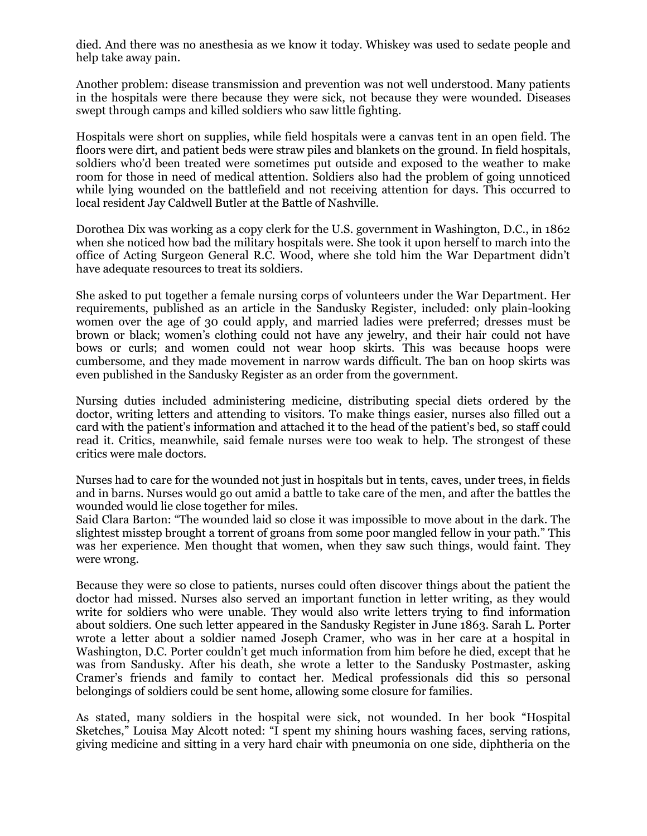died. And there was no anesthesia as we know it today. Whiskey was used to sedate people and help take away pain.

Another problem: disease transmission and prevention was not well understood. Many patients in the hospitals were there because they were sick, not because they were wounded. Diseases swept through camps and killed soldiers who saw little fighting.

Hospitals were short on supplies, while field hospitals were a canvas tent in an open field. The floors were dirt, and patient beds were straw piles and blankets on the ground. In field hospitals, soldiers who'd been treated were sometimes put outside and exposed to the weather to make room for those in need of medical attention. Soldiers also had the problem of going unnoticed while lying wounded on the battlefield and not receiving attention for days. This occurred to local resident Jay Caldwell Butler at the Battle of Nashville.

Dorothea Dix was working as a copy clerk for the U.S. government in Washington, D.C., in 1862 when she noticed how bad the military hospitals were. She took it upon herself to march into the office of Acting Surgeon General R.C. Wood, where she told him the War Department didn't have adequate resources to treat its soldiers.

She asked to put together a female nursing corps of volunteers under the War Department. Her requirements, published as an article in the Sandusky Register, included: only plain-looking women over the age of 30 could apply, and married ladies were preferred; dresses must be brown or black; women's clothing could not have any jewelry, and their hair could not have bows or curls; and women could not wear hoop skirts. This was because hoops were cumbersome, and they made movement in narrow wards difficult. The ban on hoop skirts was even published in the Sandusky Register as an order from the government.

Nursing duties included administering medicine, distributing special diets ordered by the doctor, writing letters and attending to visitors. To make things easier, nurses also filled out a card with the patient's information and attached it to the head of the patient's bed, so staff could read it. Critics, meanwhile, said female nurses were too weak to help. The strongest of these critics were male doctors.

Nurses had to care for the wounded not just in hospitals but in tents, caves, under trees, in fields and in barns. Nurses would go out amid a battle to take care of the men, and after the battles the wounded would lie close together for miles.

Said Clara Barton: "The wounded laid so close it was impossible to move about in the dark. The slightest misstep brought a torrent of groans from some poor mangled fellow in your path." This was her experience. Men thought that women, when they saw such things, would faint. They were wrong.

Because they were so close to patients, nurses could often discover things about the patient the doctor had missed. Nurses also served an important function in letter writing, as they would write for soldiers who were unable. They would also write letters trying to find information about soldiers. One such letter appeared in the Sandusky Register in June 1863. Sarah L. Porter wrote a letter about a soldier named Joseph Cramer, who was in her care at a hospital in Washington, D.C. Porter couldn't get much information from him before he died, except that he was from Sandusky. After his death, she wrote a letter to the Sandusky Postmaster, asking Cramer's friends and family to contact her. Medical professionals did this so personal belongings of soldiers could be sent home, allowing some closure for families.

As stated, many soldiers in the hospital were sick, not wounded. In her book "Hospital Sketches," Louisa May Alcott noted: "I spent my shining hours washing faces, serving rations, giving medicine and sitting in a very hard chair with pneumonia on one side, diphtheria on the